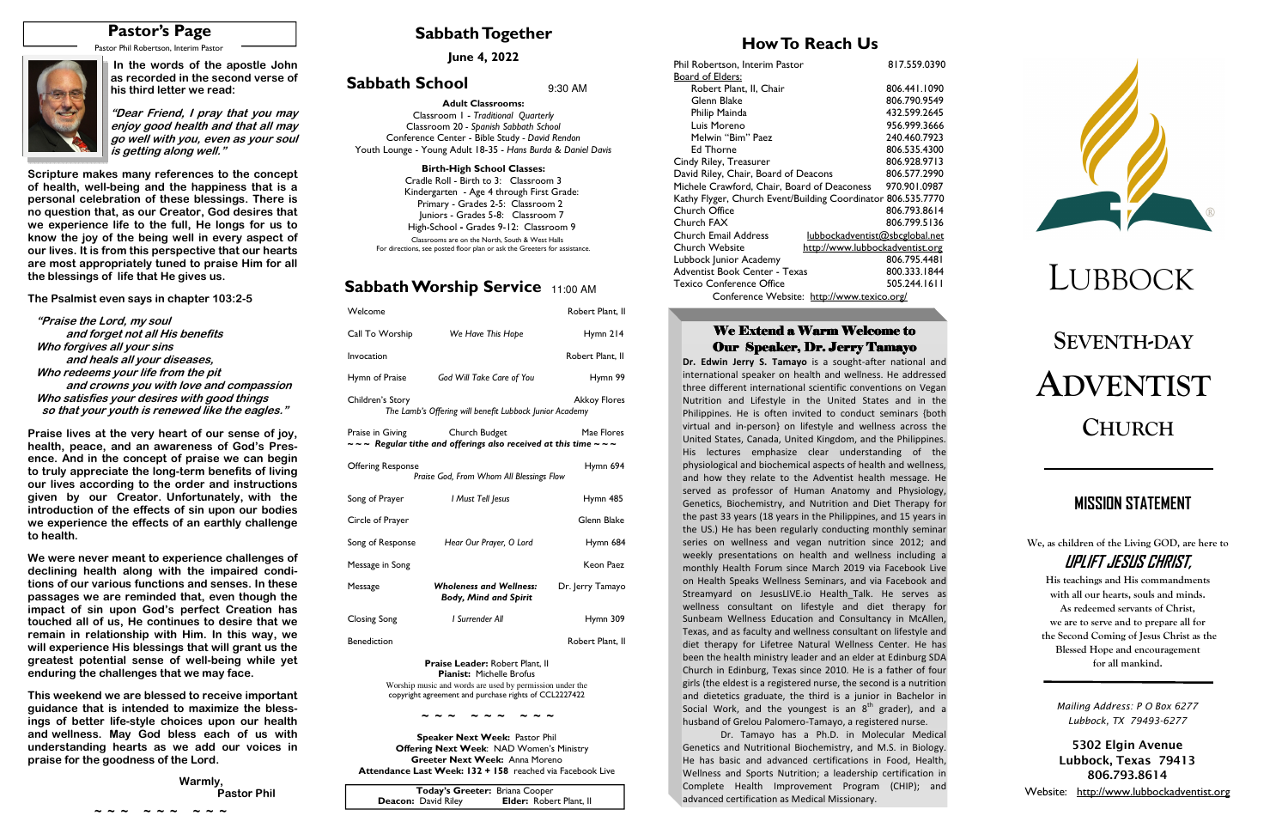# **SEVENTH-DAYADVENTISTCHURCH**

## **Sabbath Together**

## **Sabbath Worship Service** 11:00 AM

## **How To Reach Us**

**June 4, 2022** 

### **Sabbath School** 9:30 AM



| Welcome                  |                                                                                                                             | Robert Plant, II    |
|--------------------------|-----------------------------------------------------------------------------------------------------------------------------|---------------------|
| Call To Worship          | We Have This Hope                                                                                                           | Hymn 214            |
| Invocation               |                                                                                                                             | Robert Plant. II    |
| Hymn of Praise           | God Will Take Care of You                                                                                                   | Hymn 99             |
| Children's Story         | The Lamb's Offering will benefit Lubbock Junior Academy                                                                     | <b>Akkoy Flores</b> |
|                          | Praise in Giving Church Budget<br>$\sim$ $\sim$ Regular tithe and offerings also received at this time $\sim$ $\sim$ $\sim$ | Mae Flores          |
| <b>Offering Response</b> | Praise God, From Whom All Blessings Flow                                                                                    | Hymn 694            |
| Song of Prayer           | I Must Tell Jesus                                                                                                           | Hymn 485            |
| Circle of Prayer         |                                                                                                                             | Glenn Blake         |
| Song of Response         | Hear Our Prayer, O Lord                                                                                                     | Hymn 684            |
| Message in Song          |                                                                                                                             | Keon Paez           |
| Message                  | <b>Wholeness and Wellness:</b><br><b>Body, Mind and Spirit</b>                                                              | Dr. Jerry Tamayo    |
| <b>Closing Song</b>      | <b>I</b> Surrender All                                                                                                      | Hymn 309            |
| <b>Benediction</b>       |                                                                                                                             | Robert Plant, II    |

**Praise Leader:** Robert Plant, II**Pianist:** Michelle Brofus Worship music and words are used by permission under the copyright agreement and purchase rights of CCL2227422

**Speaker Next Week:** Pastor Phil  **Offering Next Week**: NAD Women's Ministry **Greeter Next Week:** Anna Moreno **Attendance Last Week: 132 + 158** reached via Facebook Live **We, as children of the Living GOD, are here to UPLIFT JESUS CHRIST,** 

**His teachings and His commandments with all our hearts, souls and minds. As redeemed servants of Christ, we are to serve and to prepare all for the Second Coming of Jesus Christ as the Blessed Hope and encouragement for all mankind.** 

# **MISSION STATEMENT**

**Adult Classrooms:** Classroom 1 - *Traditional Quarterly*  Classroom 20 *- Spanish Sabbath School*  Conference Center - Bible Study *- David Rendon* Youth Lounge - Young Adult 18-35 - *Hans Burda & Daniel Davis*

#### **Birth-High School Classes:**

 Cradle Roll - Birth to 3: Classroom 3 Kindergarten - Age 4 through First Grade: Primary - Grades 2-5: Classroom 2 Juniors - Grades 5-8: Classroom 7 High-School **-** Grades 9-12: Classroom 9 Classrooms are on the North, South & West Halls For directions, see posted floor plan or ask the Greeters for assistance.

| Today's Greeter: Briana Cooper |                                |
|--------------------------------|--------------------------------|
| <b>Deacon:</b> David Riley     | <b>Elder: Robert Plant, II</b> |

# **Pastor's Page**

Pastor Phil Robertson, Interim Pastor



**~ ~ ~ ~ ~ ~ ~ ~ ~** 

| Phil Robertson, Interim Pastor                                | 817.559.0390 |
|---------------------------------------------------------------|--------------|
| Board of Elders:                                              |              |
| Robert Plant, II, Chair                                       | 806.441.1090 |
| Glenn Blake                                                   | 806.790.9549 |
| Philip Mainda                                                 | 432.599.2645 |
| Luis Moreno                                                   | 956.999.3666 |
| Melwin "Bim" Paez                                             | 240.460.7923 |
| <b>Ed Thorne</b>                                              | 806.535.4300 |
| Cindy Riley, Treasurer                                        | 806.928.9713 |
| David Riley, Chair, Board of Deacons                          | 806.577.2990 |
| Michele Crawford, Chair, Board of Deaconess                   | 970.901.0987 |
| Kathy Flyger, Church Event/Building Coordinator 806.535.7770  |              |
| Church Office                                                 | 806.793.8614 |
| Church FAX                                                    | 806.799.5136 |
| <b>Church Email Address</b><br>lubbockadventist@sbcglobal.net |              |
| Church Website<br>http://www.lubbockadventist.org             |              |
| Lubbock Junior Academy                                        | 806.795.4481 |
| Adventist Book Center - Texas                                 | 800.333.1844 |
| <b>Texico Conference Office</b>                               | 505.244.1611 |
| Conference Website: http://www.texico.org/                    |              |

### We Extend a Warm Welcome to Our Speaker, Dr. Jerry Tamayo

**Dr. Edwin Jerry S. Tamayo** is a sought-after national and international speaker on health and wellness. He addressed three different international scientific conventions on Vegan Nutrition and Lifestyle in the United States and in the Philippines. He is often invited to conduct seminars {both virtual and in-person} on lifestyle and wellness across the United States, Canada, United Kingdom, and the Philippines. His lectures emphasize clear understanding of the physiological and biochemical aspects of health and wellness, and how they relate to the Adventist health message. He served as professor of Human Anatomy and Physiology, Genetics, Biochemistry, and Nutrition and Diet Therapy for the past 33 years (18 years in the Philippines, and 15 years in the US.) He has been regularly conducting monthly seminar series on wellness and vegan nutrition since 2012; and weekly presentations on health and wellness including a monthly Health Forum since March 2019 via Facebook Live on Health Speaks Wellness Seminars, and via Facebook and Streamyard on JesusLIVE.io Health Talk. He serves as wellness consultant on lifestyle and diet therapy for Sunbeam Wellness Education and Consultancy in McAllen, Texas, and as faculty and wellness consultant on lifestyle and diet therapy for Lifetree Natural Wellness Center. He has been the health ministry leader and an elder at Edinburg SDA Church in Edinburg, Texas since 2010. He is a father of four girls (the eldest is a registered nurse, the second is a nutrition and dietetics graduate, the third is a junior in Bachelor in Social Work, and the youngest is an  $8<sup>th</sup>$  grader), and a husband of Grelou Palomero-Tamayo, a registered nurse.

 Dr. Tamayo has a Ph.D. in Molecular Medical Genetics and Nutritional Biochemistry, and M.S. in Biology. He has basic and advanced certifications in Food, Health, Wellness and Sports Nutrition; a leadership certification in Complete Health Improvement Program (CHIP); and advanced certification as Medical Missionary.



 **In the words of the apostle John as recorded in the second verse of his third letter we read:** 

**"Dear Friend, I pray that you may enjoy good health and that all may go well with you, even as your soul is getting along well."** 

**Scripture makes many references to the concept of health, well-being and the happiness that is a personal celebration of these blessings. There is no question that, as our Creator, God desires that we experience life to the full, He longs for us to know the joy of the being well in every aspect of our lives. It is from this perspective that our hearts are most appropriately tuned to praise Him for all the blessings of life that He gives us.** 

**The Psalmist even says in chapter 103:2-5** 

 **"Praise the Lord, my soul and forget not all His benefits Who forgives all your sins and heals all your diseases, Who redeems your life from the pit and crowns you with love and compassion Who satisfies your desires with good things so that your youth is renewed like the eagles."** 

**Praise lives at the very heart of our sense of joy, health, peace, and an awareness of God's Presence. And in the concept of praise we can begin to truly appreciate the long-term benefits of living our lives according to the order and instructions given by our Creator. Unfortunately, with the introduction of the effects of sin upon our bodies we experience the effects of an earthly challenge to health.** 

**We were never meant to experience challenges of declining health along with the impaired conditions of our various functions and senses. In these passages we are reminded that, even though the impact of sin upon God's perfect Creation has touched all of us, He continues to desire that we remain in relationship with Him. In this way, we will experience His blessings that will grant us the greatest potential sense of well-being while yet enduring the challenges that we may face.** 

**This weekend we are blessed to receive important guidance that is intended to maximize the blessings of better life-style choices upon our health and wellness. May God bless each of us with understanding hearts as we add our voices in praise for the goodness of the Lord.** 

| Warmly,            |
|--------------------|
| <b>Pastor Phil</b> |
|                    |

*Mailing Address: P O Box 6277 Lubbock, TX 79493-6277* 

**5302 Elgin Avenue Lubbock, Texas 79413 806.793.8614** 

Website: http://www.lubbockadventist.org

**~ ~ ~ ~ ~ ~ ~ ~ ~**